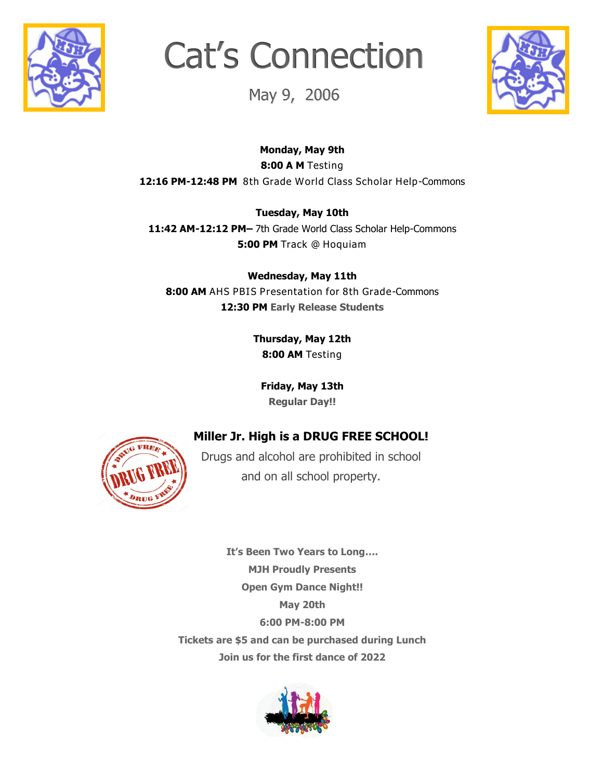

## Cat's Connection

May 9, 2006



**Monday, May 9th 8:00 A M** Testing **12:16 PM-12:48 PM** 8th Grade World Class Scholar Help-Commons

**Tuesday, May 10th 11:42 AM-12:12 PM–** 7th Grade World Class Scholar Help-Commons **5:00 PM** Track @ Hoquiam

**Wednesday, May 11th 8:00 AM** AHS PBIS Presentation for 8th Grade-Commons **12:30 PM Early Release Students**

> **Thursday, May 12th 8:00 AM** Testing

**Friday, May 13th Regular Day!!**

## **Miller Jr. High is a DRUG FREE SCHOOL!**



**It's Been Two Years to Long…. MJH Proudly Presents Open Gym Dance Night!! May 20th 6:00 PM-8:00 PM Tickets are \$5 and can be purchased during Lunch Join us for the first dance of 2022**